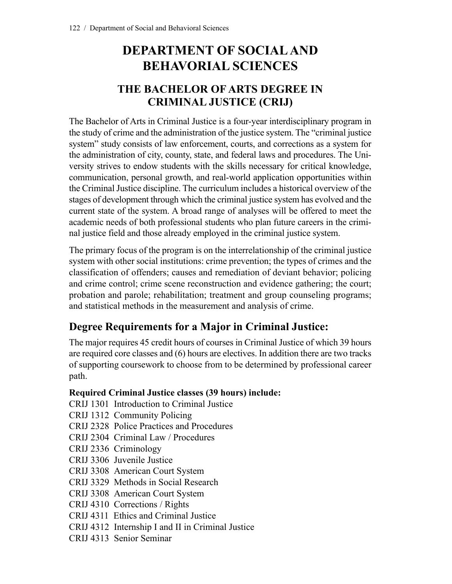# **DEPARTMENT OF SOCIALAND BEHAVORIAL SCIENCES**

## **THE BACHELOR OF ARTS DEGREE IN CRIMINAL JUSTICE (CRIJ)**

The Bachelor of Arts in Criminal Justice is a four-year interdisciplinary program in the study of crime and the administration of the justice system. The "criminal justice system" study consists of law enforcement, courts, and corrections as a system for the administration of city, county, state, and federal laws and procedures. The University strives to endow students with the skills necessary for critical knowledge, communication, personal growth, and real-world application opportunities within the Criminal Justice discipline. The curriculum includes a historical overview of the stages of development through which the criminal justice system has evolved and the current state of the system. A broad range of analyses will be offered to meet the academic needs of both professional students who plan future careers in the criminal justice field and those already employed in the criminal justice system.

The primary focus of the program is on the interrelationship of the criminal justice system with other social institutions: crime prevention; the types of crimes and the classification of offenders; causes and remediation of deviant behavior; policing and crime control; crime scene reconstruction and evidence gathering; the court; probation and parole; rehabilitation; treatment and group counseling programs; and statistical methods in the measurement and analysis of crime.

## **Degree Requirements for a Major in Criminal Justice:**

The major requires 45 credit hours of courses in Criminal Justice of which 39 hours are required core classes and (6) hours are electives. In addition there are two tracks of supporting coursework to choose from to be determined by professional career path.

### **Required Criminal Justice classes (39 hours) include:**

- CRIJ 1301 Introduction to Criminal Justice
- CRIJ 1312 Community Policing
- CRIJ 2328 Police Practices and Procedures
- CRIJ 2304 Criminal Law / Procedures
- CRIJ 2336 Criminology
- CRIJ 3306 Juvenile Justice
- CRIJ 3308 American Court System
- CRIJ 3329 Methods in Social Research
- CRIJ 3308 American Court System
- CRIJ 4310 Corrections / Rights
- CRIJ 4311 Ethics and Criminal Justice
- CRIJ 4312 Internship I and II in Criminal Justice
- CRIJ 4313 Senior Seminar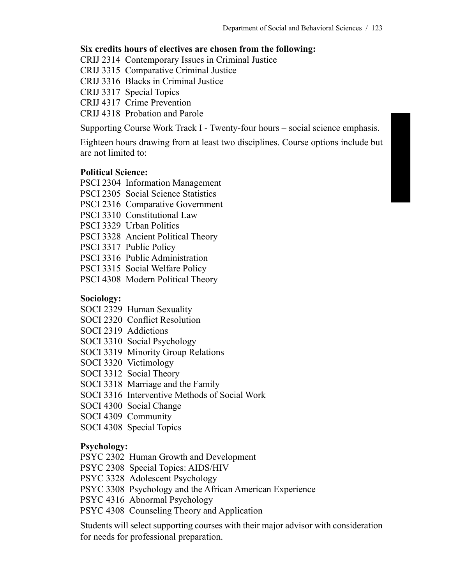### **Six credits hours of electives are chosen from the following:**

CRIJ 2314 Contemporary Issues in Criminal Justice

CRIJ 3315 Comparative Criminal Justice

CRIJ 3316 Blacks in Criminal Justice

CRIJ 3317 Special Topics

CRIJ 4317 Crime Prevention

CRIJ 4318 Probation and Parole

Supporting Course Work Track I - Twenty-four hours – social science emphasis.

Eighteen hours drawing from at least two disciplines. Course options include but are not limited to:

### **Political Science:**

- PSCI 2304 Information Management
- PSCI 2305 Social Science Statistics
- PSCI 2316 Comparative Government
- PSCI 3310 Constitutional Law
- PSCI 3329 Urban Politics
- PSCI 3328 Ancient Political Theory
- PSCI 3317 Public Policy
- PSCI 3316 Public Administration
- PSCI 3315 Social Welfare Policy
- PSCI 4308 Modern Political Theory

### **Sociology:**

- SOCI 2329 Human Sexuality
- SOCI 2320 Conflict Resolution
- SOCI 2319 Addictions
- SOCI 3310 Social Psychology
- SOCI 3319 Minority Group Relations
- SOCI 3320 Victimology
- SOCI 3312 Social Theory
- SOCI 3318 Marriage and the Family
- SOCI 3316 Interventive Methods of Social Work
- SOCI 4300 Social Change
- SOCI 4309 Community
- SOCI 4308 Special Topics

### **Psychology:**

- PSYC 2302 Human Growth and Development
- PSYC 2308 Special Topics: AIDS/HIV
- PSYC 3328 Adolescent Psychology
- PSYC 3308 Psychology and the African American Experience
- PSYC 4316 Abnormal Psychology
- PSYC 4308 Counseling Theory and Application

Students will select supporting courses with their major advisor with consideration for needs for professional preparation.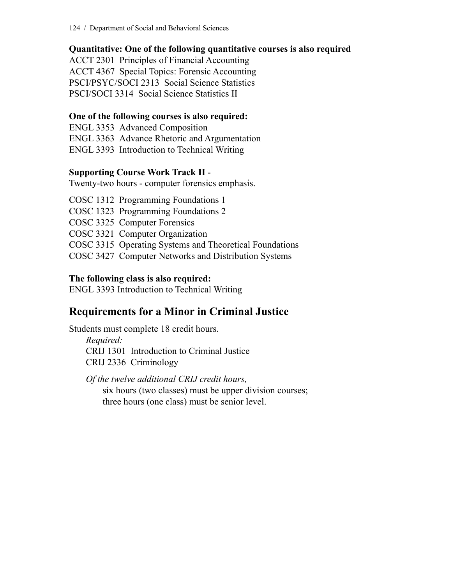124 / Department of Social and Behavioral Sciences

### **Quantitative: One of the following quantitative courses is also required**

ACCT 2301 Principles of Financial Accounting ACCT 4367 Special Topics: Forensic Accounting PSCI/PSYC/SOCI 2313 Social Science Statistics PSCI/SOCI 3314 Social Science Statistics II

### **One of the following courses is also required:**

ENGL 3353 Advanced Composition ENGL 3363 Advance Rhetoric and Argumentation ENGL 3393 Introduction to Technical Writing

### **Supporting Course Work Track II** -

Twenty-two hours - computer forensics emphasis.

COSC 1312 Programming Foundations 1 COSC 1323 Programming Foundations 2 COSC 3325 Computer Forensics COSC 3321 Computer Organization COSC 3315 Operating Systems and Theoretical Foundations COSC 3427 Computer Networks and Distribution Systems

### **The following class is also required:**

ENGL 3393 Introduction to Technical Writing

## **Requirements for a Minor in Criminal Justice**

Students must complete 18 credit hours. *Required:* CRIJ 1301 Introduction to Criminal Justice CRIJ 2336 Criminology

*Of the twelve additional CRIJ credit hours,* six hours (two classes) must be upper division courses; three hours (one class) must be senior level.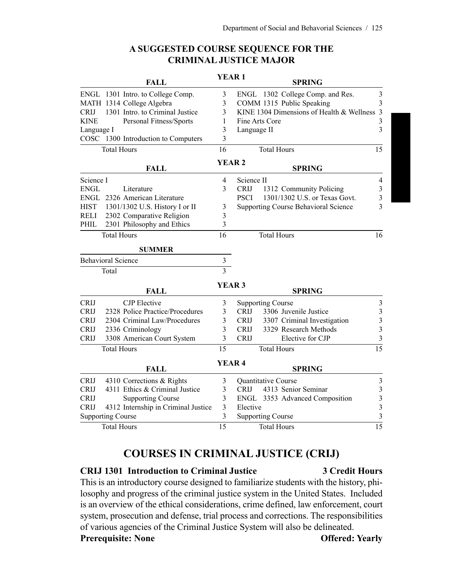|                           | <b>FALL</b>                         | <b>YEAR1</b>      |                          | <b>SPRING</b>                               |                         |
|---------------------------|-------------------------------------|-------------------|--------------------------|---------------------------------------------|-------------------------|
|                           | ENGL 1301 Intro. to College Comp.   | 3                 |                          | ENGL 1302 College Comp. and Res.            | 3                       |
|                           | MATH 1314 College Algebra           | 3                 |                          | COMM 1315 Public Speaking                   | 3                       |
| <b>CRIJ</b>               | 1301 Intro. to Criminal Justice     | 3                 |                          | KINE 1304 Dimensions of Health & Wellness 3 |                         |
| <b>KINE</b>               | Personal Fitness/Sports             | 1                 |                          | Fine Arts Core                              | 3                       |
| Language I                |                                     | 3                 | Language II              |                                             | 3                       |
|                           | COSC 1300 Introduction to Computers | $\overline{3}$    |                          |                                             |                         |
| <b>Total Hours</b>        |                                     | 16                | <b>Total Hours</b>       |                                             | 15                      |
|                           | <b>FALL</b>                         | <b>YEAR2</b>      |                          | <b>SPRING</b>                               |                         |
| Science I                 |                                     | 4                 | Science II               |                                             | 4                       |
| <b>ENGL</b>               | Literature                          | 3                 | <b>CRIJ</b>              | 1312 Community Policing                     | $\mathfrak{Z}$          |
|                           | ENGL 2326 American Literature       |                   | <b>PSCI</b>              | 1301/1302 U.S. or Texas Govt.               | $\mathfrak{Z}$          |
| <b>HIST</b>               | 1301/1302 U.S. History I or II      | 3                 |                          | <b>Supporting Course Behavioral Science</b> | 3                       |
| <b>RELI</b>               | 2302 Comparative Religion           | $\overline{3}$    |                          |                                             |                         |
| PHIL                      | 2301 Philosophy and Ethics          | 3                 |                          |                                             |                         |
|                           | <b>Total Hours</b>                  | 16                |                          | <b>Total Hours</b>                          | 16                      |
|                           | <b>SUMMER</b>                       |                   |                          |                                             |                         |
| <b>Behavioral Science</b> |                                     | $\mathfrak{Z}$    |                          |                                             |                         |
|                           | Total                               | $\overline{3}$    |                          |                                             |                         |
|                           | <b>FALL</b>                         | <b>YEAR 3</b>     |                          | <b>SPRING</b>                               |                         |
| <b>CRIJ</b>               | <b>CJP</b> Elective                 | 3                 |                          | <b>Supporting Course</b>                    | $\mathfrak{Z}$          |
| <b>CRIJ</b>               | 2328 Police Practice/Procedures     | 3                 | <b>CRIJ</b>              | 3306 Juvenile Justice                       | $\mathfrak{Z}$          |
| <b>CRIJ</b>               | 2304 Criminal Law/Procedures        | 3                 | <b>CRIJ</b>              | 3307 Criminal Investigation                 | $\mathfrak{Z}$          |
| <b>CRIJ</b>               | 2336 Criminology                    | 3                 | <b>CRIJ</b>              | 3329 Research Methods                       | $\mathfrak{Z}$          |
| <b>CRIJ</b>               | 3308 American Court System          | $\overline{3}$    | <b>CRIJ</b>              | Elective for CJP                            | 3                       |
|                           | <b>Total Hours</b>                  | 15                |                          | <b>Total Hours</b>                          | $\overline{15}$         |
| <b>FALL</b>               |                                     | YEAR <sub>4</sub> |                          | <b>SPRING</b>                               |                         |
| <b>CRIJ</b>               | 4310 Corrections & Rights           | 3                 |                          | <b>Quantitative Course</b>                  | $\mathfrak{Z}$          |
| <b>CRIJ</b>               | 4311 Ethics & Criminal Justice      | 3                 | <b>CRIJ</b>              | 4313 Senior Seminar                         | $\overline{\mathbf{3}}$ |
| <b>CRIJ</b>               | <b>Supporting Course</b>            | 3                 |                          | ENGL 3353 Advanced Composition              | 3                       |
| <b>CRIJ</b>               | 4312 Internship in Criminal Justice | $\overline{3}$    | Elective                 |                                             | 3                       |
| <b>Supporting Course</b>  |                                     | $\overline{3}$    | <b>Supporting Course</b> |                                             | 3                       |
| <b>Total Hours</b>        |                                     | 15                | <b>Total Hours</b>       |                                             | 15                      |

### **A SUGGESTED COURSE SEQUENCE FOR THE CRIMINAL JUSTICE MAJOR**

## **COURSES IN CRIMINAL JUSTICE (CRIJ)**

### **CRIJ 1301 Introduction to Criminal Justice 3 Credit Hours**

This is an introductory course designed to familiarize students with the history, philosophy and progress of the criminal justice system in the United States. Included is an overview of the ethical considerations, crime defined, law enforcement, court system, prosecution and defense, trial process and corrections. The responsibilities of various agencies of the Criminal Justice System will also be delineated. **Prerequisite: None Offered: Yearly**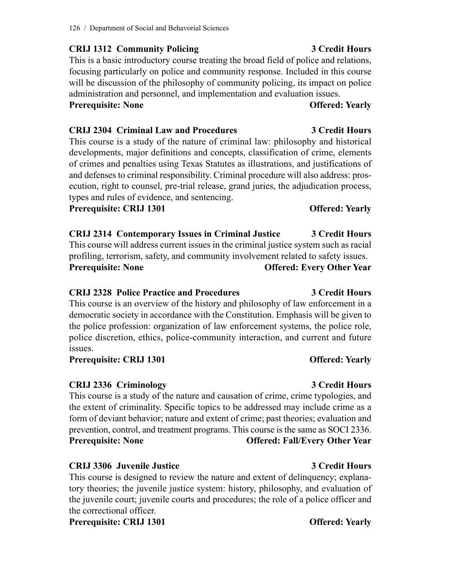### **CRIJ 1312 Community Policing 3 Credit Hours**

This is a basic introductory course treating the broad field of police and relations, focusing particularly on police and community response. Included in this course will be discussion of the philosophy of community policing, its impact on police administration and personnel, and implementation and evaluation issues.

## **Prerequisite: None Offered: Yearly**

## **CRIJ 2304 Criminal Law and Procedures 3 Credit Hours**

This course is a study of the nature of criminal law: philosophy and historical developments, major definitions and concepts, classification of crime, elements of crimes and penalties using Texas Statutes as illustrations, and justifications of and defenses to criminal responsibility. Criminal procedure will also address: prosecution, right to counsel, pre-trial release, grand juries, the adjudication process, types and rules of evidence, and sentencing.

### **Prerequisite: CRIJ 1301 Offered: Yearly**

**CRIJ 2314 Contemporary Issues in Criminal Justice 3 Credit Hours** This course will address current issues in the criminal justice system such as racial profiling, terrorism, safety, and community involvement related to safety issues. **Prerequisite: None Offered: Every Other Year**

## **CRIJ 2328 Police Practice and Procedures 3 Credit Hours**

This course is an overview of the history and philosophy of law enforcement in a democratic society in accordance with the Constitution. Emphasis will be given to the police profession: organization of law enforcement systems, the police role, police discretion, ethics, police-community interaction, and current and future issues.

### **Prerequisite: CRIJ 1301 Offered: Yearly**

## **CRIJ 2336 Criminology 3 Credit Hours**

This course is a study of the nature and causation of crime, crime typologies, and the extent of criminality. Specific topics to be addressed may include crime as a form of deviant behavior; nature and extent of crime; past theories; evaluation and prevention, control, and treatment programs. This course is the same as SOCI 2336. **Prerequisite: None Offered: Fall/Every Other Year**

## **CRIJ 3306 Juvenile Justice 3 Credit Hours**

This course is designed to review the nature and extent of delinquency; explanatory theories; the juvenile justice system: history, philosophy, and evaluation of the juvenile court; juvenile courts and procedures; the role of a police officer and the correctional officer.

**Prerequisite: CRIJ 1301 Offered: Yearly**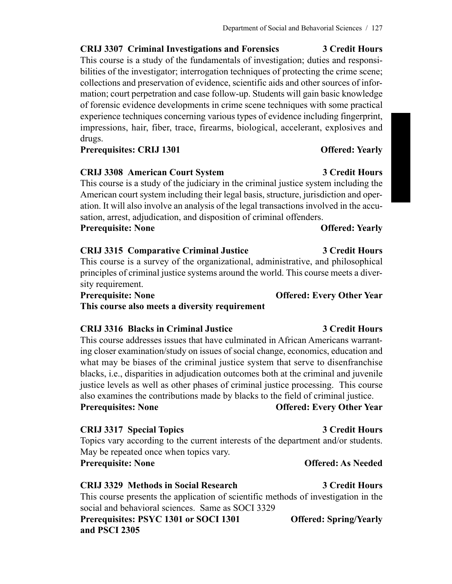**CRIJ 3307 Criminal Investigations and Forensics 3 Credit Hours** This course is a study of the fundamentals of investigation; duties and responsibilities of the investigator; interrogation techniques of protecting the crime scene; collections and preservation of evidence, scientific aids and other sources of infor-

mation; court perpetration and case follow-up. Students will gain basic knowledge of forensic evidence developments in crime scene techniques with some practical experience techniques concerning various types of evidence including fingerprint, impressions, hair, fiber, trace, firearms, biological, accelerant, explosives and drugs.

**Prerequisites: CRIJ 1301 Offered: Yearly**

### **CRIJ 3308 American Court System 3 Credit Hours**

This course is a study of the judiciary in the criminal justice system including the American court system including their legal basis, structure, jurisdiction and operation. It will also involve an analysis of the legal transactions involved in the accusation, arrest, adjudication, and disposition of criminal offenders.

**Prerequisite: None Offered: Yearly**

### **CRIJ 3315 Comparative Criminal Justice 3 Credit Hours** This course is a survey of the organizational, administrative, and philosophical principles of criminal justice systems around the world. This course meets a diversity requirement.

**Prerequisite: None Offered: Every Other Year**

**This course also meets a diversity requirement**

### **CRIJ 3316 Blacks in Criminal Justice 3 Credit Hours**

This course addresses issues that have culminated in African Americans warranting closer examination/study on issues of social change, economics, education and what may be biases of the criminal justice system that serve to disenfranchise blacks, i.e., disparities in adjudication outcomes both at the criminal and juvenile justice levels as well as other phases of criminal justice processing. This course also examines the contributions made by blacks to the field of criminal justice. **Prerequisites: None Offered: Every Other Year**

### **CRIJ 3317 Special Topics 3 Credit Hours**

Topics vary according to the current interests of the department and/or students. May be repeated once when topics vary. **Prerequisite: None Offered: As Needed**

### **CRIJ 3329 Methods in Social Research 3 Credit Hours**

This course presents the application of scientific methods of investigation in the social and behavioral sciences. Same as SOCI 3329

**Prerequisites: PSYC 1301 or SOCI 1301 Offered: Spring/Yearly and PSCI 2305**